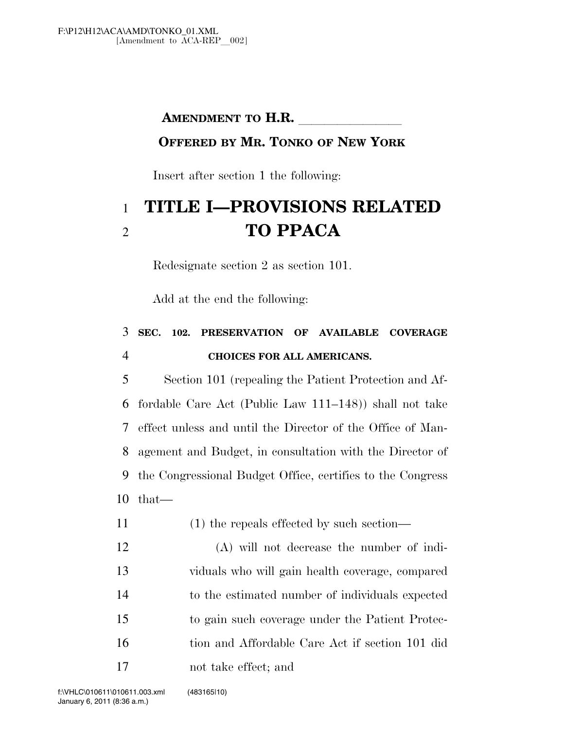#### **AMENDMENT TO H.R.**

#### **OFFERED BY MR. TONKO OF NEW YORK**

Insert after section 1 the following:

# **TITLE I—PROVISIONS RELATED TO PPACA**

Redesignate section 2 as section 101.

Add at the end the following:

## **SEC. 102. PRESERVATION OF AVAILABLE COVERAGE CHOICES FOR ALL AMERICANS.**

 Section 101 (repealing the Patient Protection and Af- fordable Care Act (Public Law 111–148)) shall not take effect unless and until the Director of the Office of Man- agement and Budget, in consultation with the Director of the Congressional Budget Office, certifies to the Congress that—

- (1) the repeals effected by such section—
- (A) will not decrease the number of indi- viduals who will gain health coverage, compared to the estimated number of individuals expected to gain such coverage under the Patient Protec- tion and Affordable Care Act if section 101 did not take effect; and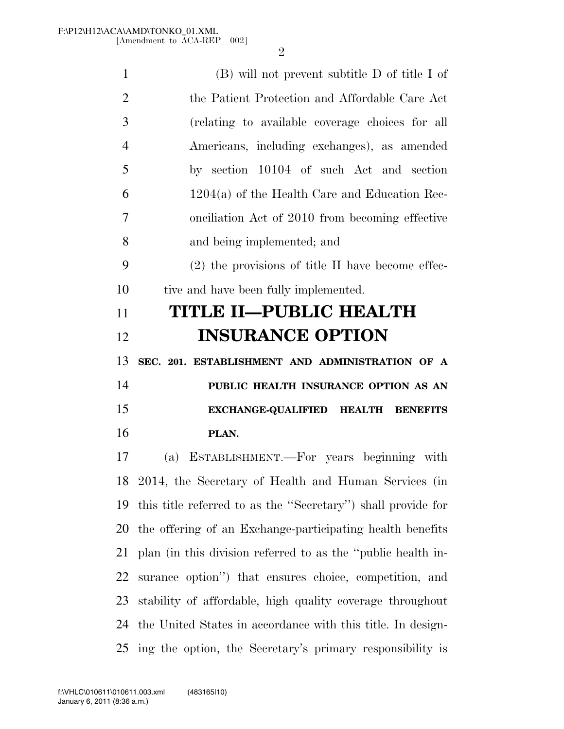| 1              | (B) will not prevent subtitle D of title I of                  |
|----------------|----------------------------------------------------------------|
| $\overline{2}$ | the Patient Protection and Affordable Care Act                 |
| 3              | (relating to available coverage choices for all                |
| $\overline{4}$ | Americans, including exchanges), as amended                    |
| 5              | by section 10104 of such Act and section                       |
| 6              | $1204(a)$ of the Health Care and Education Rec-                |
| $\overline{7}$ | onciliation Act of 2010 from becoming effective                |
| 8              | and being implemented; and                                     |
| 9              | $(2)$ the provisions of title II have become effec-            |
| 10             | tive and have been fully implemented.                          |
| 11             | TITLE II-PUBLIC HEALTH                                         |
| 12             | <b>INSURANCE OPTION</b>                                        |
| 13             | SEC. 201. ESTABLISHMENT AND ADMINISTRATION OF A                |
| 14             | PUBLIC HEALTH INSURANCE OPTION AS AN                           |
| 15             | EXCHANGE-QUALIFIED HEALTH BENEFITS                             |
| 16             | PLAN.                                                          |
| 17             | ESTABLISHMENT.—For years beginning with<br>(a)                 |
|                | 18 2014, the Secretary of Health and Human Services (in        |
|                | 19 this title referred to as the "Secretary" shall provide for |
|                | 20 the offering of an Exchange-participating health benefits   |
| 21             | plan (in this division referred to as the "public health in-   |
| 22             | surance option") that ensures choice, competition, and         |
| 23             | stability of affordable, high quality coverage throughout      |
| 24             | the United States in accordance with this title. In design-    |
|                | 25 ing the option, the Secretary's primary responsibility is   |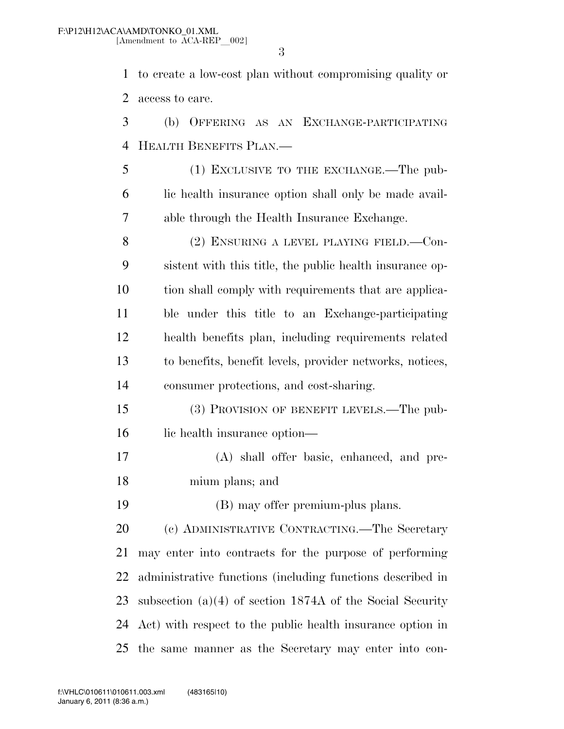to create a low-cost plan without compromising quality or access to care.

 (b) OFFERING AS AN EXCHANGE-PARTICIPATING HEALTH BENEFITS PLAN.—

 (1) EXCLUSIVE TO THE EXCHANGE.—The pub- lic health insurance option shall only be made avail-able through the Health Insurance Exchange.

8 (2) ENSURING A LEVEL PLAYING FIELD. Con- sistent with this title, the public health insurance op- tion shall comply with requirements that are applica- ble under this title to an Exchange-participating health benefits plan, including requirements related to benefits, benefit levels, provider networks, notices, consumer protections, and cost-sharing.

 (3) PROVISION OF BENEFIT LEVELS.—The pub-lic health insurance option—

 (A) shall offer basic, enhanced, and pre-mium plans; and

(B) may offer premium-plus plans.

 (c) ADMINISTRATIVE CONTRACTING.—The Secretary may enter into contracts for the purpose of performing administrative functions (including functions described in subsection (a)(4) of section 1874A of the Social Security Act) with respect to the public health insurance option in the same manner as the Secretary may enter into con-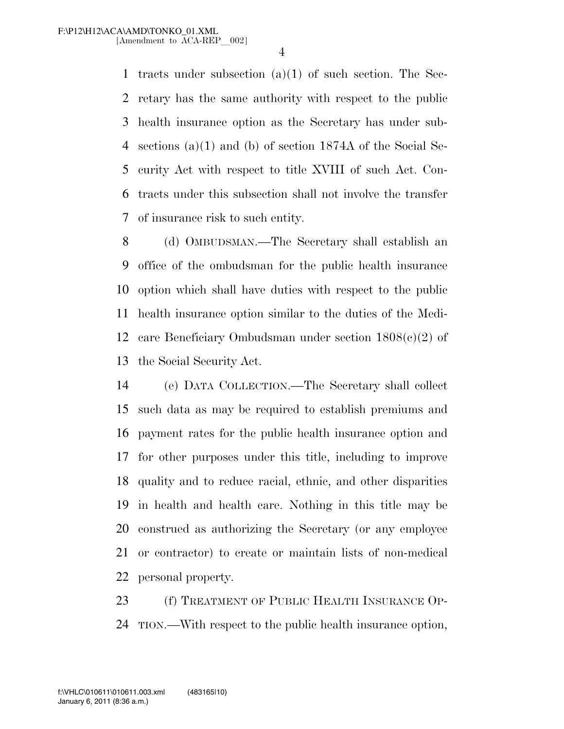tracts under subsection (a)(1) of such section. The Sec- retary has the same authority with respect to the public health insurance option as the Secretary has under sub- sections (a)(1) and (b) of section 1874A of the Social Se- curity Act with respect to title XVIII of such Act. Con- tracts under this subsection shall not involve the transfer of insurance risk to such entity.

 (d) OMBUDSMAN.—The Secretary shall establish an office of the ombudsman for the public health insurance option which shall have duties with respect to the public health insurance option similar to the duties of the Medi- care Beneficiary Ombudsman under section 1808(c)(2) of the Social Security Act.

 (e) DATA COLLECTION.—The Secretary shall collect such data as may be required to establish premiums and payment rates for the public health insurance option and for other purposes under this title, including to improve quality and to reduce racial, ethnic, and other disparities in health and health care. Nothing in this title may be construed as authorizing the Secretary (or any employee or contractor) to create or maintain lists of non-medical personal property.

 (f) TREATMENT OF PUBLIC HEALTH INSURANCE OP-TION.—With respect to the public health insurance option,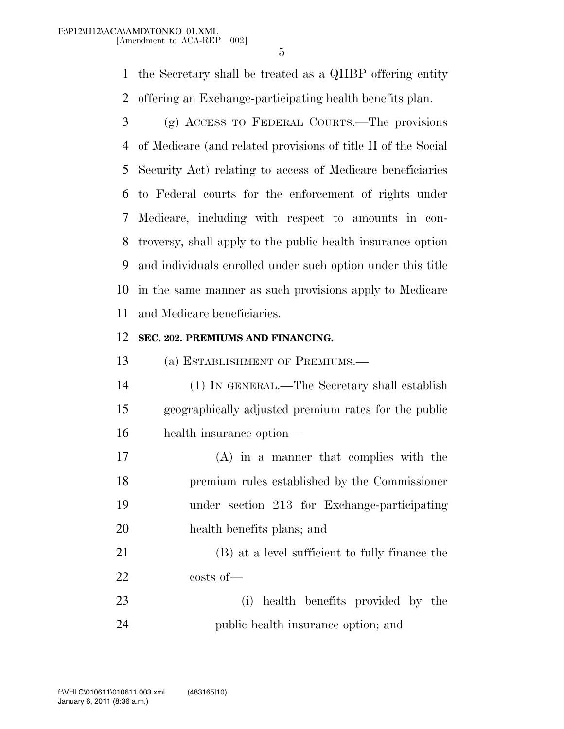the Secretary shall be treated as a QHBP offering entity offering an Exchange-participating health benefits plan.

 (g) ACCESS TO FEDERAL COURTS.—The provisions of Medicare (and related provisions of title II of the Social Security Act) relating to access of Medicare beneficiaries to Federal courts for the enforcement of rights under Medicare, including with respect to amounts in con- troversy, shall apply to the public health insurance option and individuals enrolled under such option under this title in the same manner as such provisions apply to Medicare and Medicare beneficiaries.

#### **SEC. 202. PREMIUMS AND FINANCING.**

(a) ESTABLISHMENT OF PREMIUMS.—

- (1) IN GENERAL.—The Secretary shall establish geographically adjusted premium rates for the public health insurance option—
- (A) in a manner that complies with the premium rules established by the Commissioner under section 213 for Exchange-participating health benefits plans; and

 (B) at a level sufficient to fully finance the costs of—

 (i) health benefits provided by the public health insurance option; and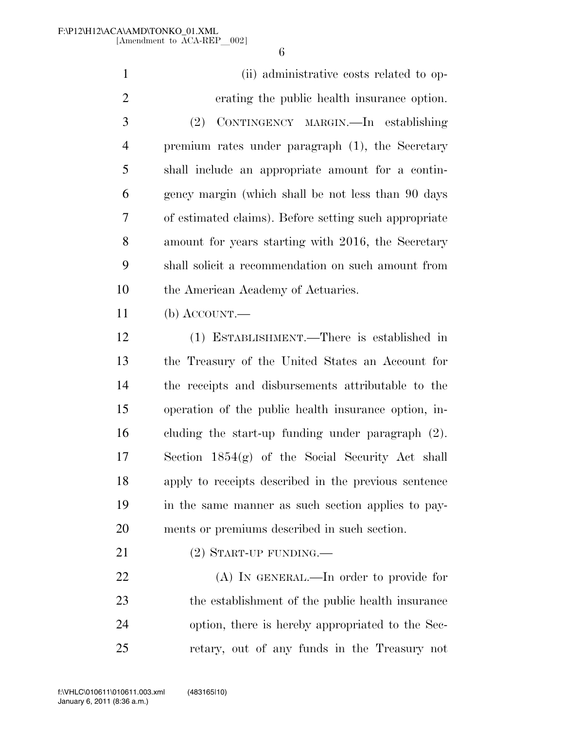(ii) administrative costs related to op- erating the public health insurance option. (2) CONTINGENCY MARGIN.—In establishing premium rates under paragraph (1), the Secretary shall include an appropriate amount for a contin- gency margin (which shall be not less than 90 days of estimated claims). Before setting such appropriate amount for years starting with 2016, the Secretary shall solicit a recommendation on such amount from the American Academy of Actuaries. (b) ACCOUNT.— (1) ESTABLISHMENT.—There is established in the Treasury of the United States an Account for the receipts and disbursements attributable to the operation of the public health insurance option, in- cluding the start-up funding under paragraph (2). Section 1854(g) of the Social Security Act shall

 apply to receipts described in the previous sentence in the same manner as such section applies to pay-ments or premiums described in such section.

21 (2) START-UP FUNDING.—

22 (A) In GENERAL.—In order to provide for the establishment of the public health insurance option, there is hereby appropriated to the Sec-retary, out of any funds in the Treasury not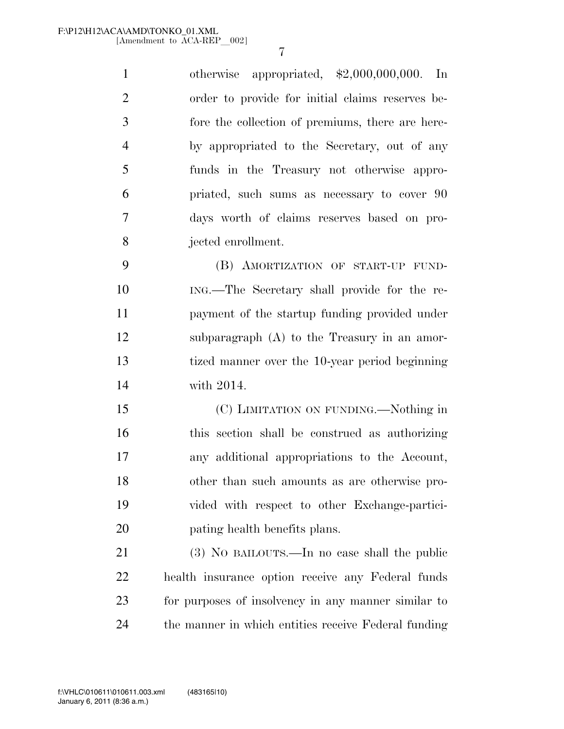otherwise appropriated, \$2,000,000,000. In order to provide for initial claims reserves be- fore the collection of premiums, there are here- by appropriated to the Secretary, out of any funds in the Treasury not otherwise appro- priated, such sums as necessary to cover 90 days worth of claims reserves based on pro-jected enrollment.

 (B) AMORTIZATION OF START-UP FUND- ING.—The Secretary shall provide for the re- payment of the startup funding provided under subparagraph (A) to the Treasury in an amor- tized manner over the 10-year period beginning with 2014.

 (C) LIMITATION ON FUNDING.—Nothing in this section shall be construed as authorizing any additional appropriations to the Account, other than such amounts as are otherwise pro- vided with respect to other Exchange-partici-pating health benefits plans.

 (3) NO BAILOUTS.—In no case shall the public health insurance option receive any Federal funds for purposes of insolvency in any manner similar to the manner in which entities receive Federal funding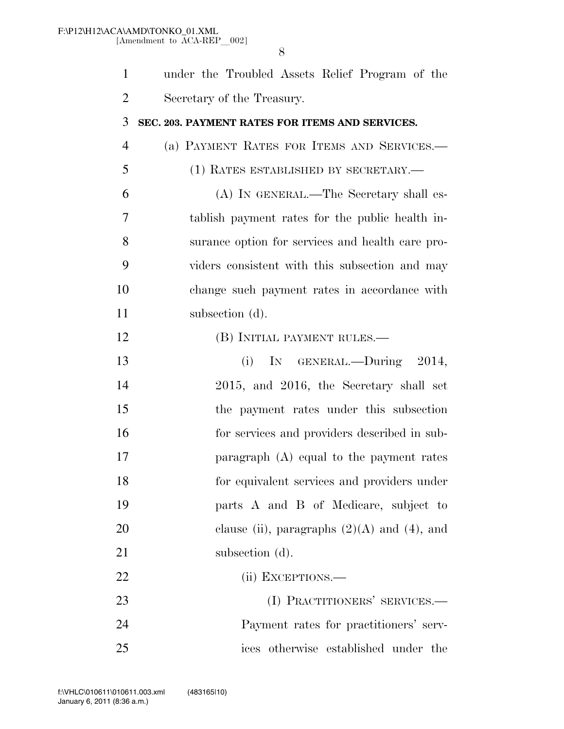| $\mathbf{1}$   | under the Troubled Assets Relief Program of the  |
|----------------|--------------------------------------------------|
| $\overline{2}$ | Secretary of the Treasury.                       |
| 3              | SEC. 203. PAYMENT RATES FOR ITEMS AND SERVICES.  |
| $\overline{4}$ | (a) PAYMENT RATES FOR ITEMS AND SERVICES.-       |
| 5              | (1) RATES ESTABLISHED BY SECRETARY.—             |
| 6              | (A) IN GENERAL.—The Secretary shall es-          |
| 7              | tablish payment rates for the public health in-  |
| 8              | surance option for services and health care pro- |
| 9              | viders consistent with this subsection and may   |
| 10             | change such payment rates in accordance with     |
| 11             | subsection (d).                                  |
| 12             | (B) INITIAL PAYMENT RULES.—                      |
| 13             | IN GENERAL.—During 2014,<br>(i)                  |
| 14             | 2015, and 2016, the Secretary shall set          |
| 15             | the payment rates under this subsection          |
| 16             | for services and providers described in sub-     |
| 17             | paragraph $(A)$ equal to the payment rates       |
| 18             | for equivalent services and providers under      |
| 19             | parts A and B of Medicare, subject to            |
| 20             | clause (ii), paragraphs $(2)(A)$ and $(4)$ , and |
| 21             | subsection (d).                                  |
| 22             | (ii) EXCEPTIONS.—                                |
| 23             | (I) PRACTITIONERS' SERVICES.-                    |
| 24             | Payment rates for practitioners' serv-           |
| 25             | ices otherwise established under the             |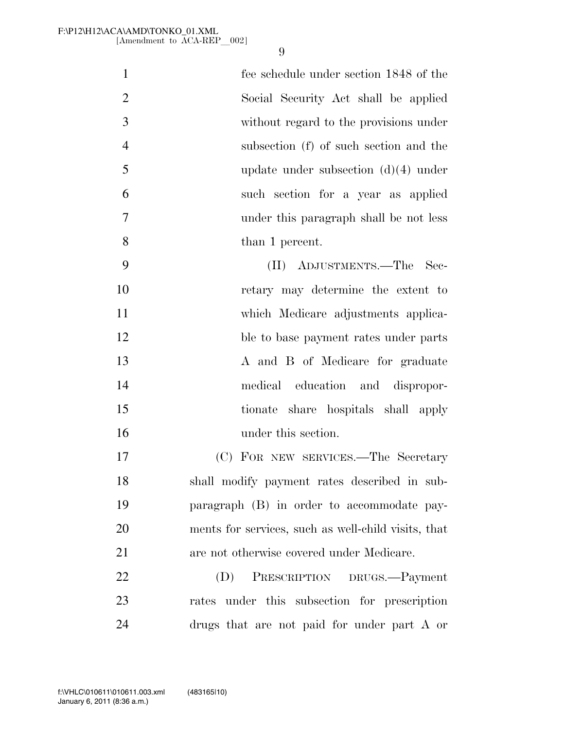| $\mathbf{1}$   | fee schedule under section 1848 of the              |
|----------------|-----------------------------------------------------|
| $\overline{2}$ | Social Security Act shall be applied                |
| 3              | without regard to the provisions under              |
| $\overline{4}$ | subsection (f) of such section and the              |
| 5              | update under subsection $(d)(4)$ under              |
| 6              | such section for a year as applied                  |
| $\overline{7}$ | under this paragraph shall be not less              |
| 8              | than 1 percent.                                     |
| 9              | (II) ADJUSTMENTS.—The Sec-                          |
| 10             | retary may determine the extent to                  |
| 11             | which Medicare adjustments applica-                 |
| 12             | ble to base payment rates under parts               |
| 13             | A and B of Medicare for graduate                    |
| 14             | medical education and dispropor-                    |
| 15             | tionate share hospitals shall apply                 |
| 16             | under this section.                                 |
| 17             | (C) FOR NEW SERVICES.—The Secretary                 |
| 18             | shall modify payment rates described in sub-        |
| 19             | paragraph (B) in order to accommodate pay-          |
| 20             | ments for services, such as well-child visits, that |
| 21             | are not otherwise covered under Medicare.           |
| 22             | PRESCRIPTION DRUGS.-Payment<br>(D)                  |
| 23             | rates under this subsection for prescription        |
| 24             | drugs that are not paid for under part A or         |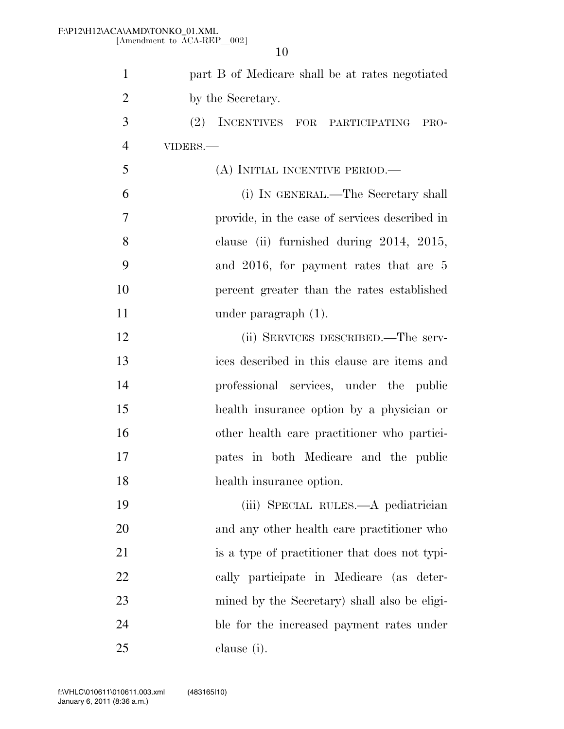| $\mathbf{1}$   | part B of Medicare shall be at rates negotiated |
|----------------|-------------------------------------------------|
| $\overline{2}$ | by the Secretary.                               |
| 3              | (2) INCENTIVES FOR PARTICIPATING PRO-           |
| $\overline{4}$ | VIDERS.-                                        |
| 5              | (A) INITIAL INCENTIVE PERIOD.—                  |
| 6              | (i) IN GENERAL.—The Secretary shall             |
| 7              | provide, in the case of services described in   |
| 8              | clause (ii) furnished during 2014, 2015,        |
| 9              | and 2016, for payment rates that are 5          |
| 10             | percent greater than the rates established      |
| 11             | under paragraph $(1)$ .                         |
| 12             | (ii) SERVICES DESCRIBED.—The serv-              |
| 13             | ices described in this clause are items and     |
| 14             | professional services, under the public         |
| 15             | health insurance option by a physician or       |
| 16             | other health care practitioner who partici-     |
| 17             | pates in both Medicare and the public           |
| 18             | health insurance option.                        |
| 19             | (iii) SPECIAL RULES.—A pediatrician             |
| 20             | and any other health care practitioner who      |
| 21             | is a type of practitioner that does not typi-   |
| 22             | cally participate in Medicare (as deter-        |
| 23             | mined by the Secretary) shall also be eligi-    |
| 24             | ble for the increased payment rates under       |
| 25             | clause (i).                                     |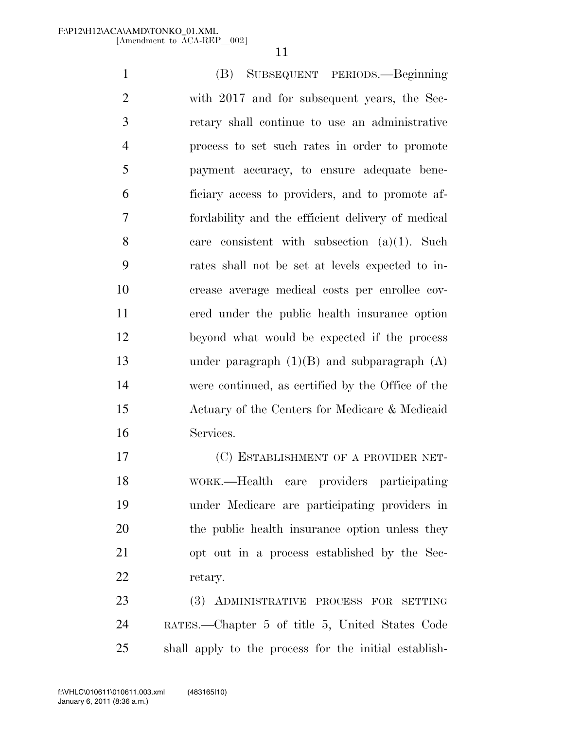(B) SUBSEQUENT PERIODS.—Beginning with 2017 and for subsequent years, the Sec- retary shall continue to use an administrative process to set such rates in order to promote payment accuracy, to ensure adequate bene- ficiary access to providers, and to promote af- fordability and the efficient delivery of medical care consistent with subsection (a)(1). Such rates shall not be set at levels expected to in- crease average medical costs per enrollee cov- ered under the public health insurance option beyond what would be expected if the process under paragraph (1)(B) and subparagraph (A) were continued, as certified by the Office of the Actuary of the Centers for Medicare & Medicaid Services.

 (C) ESTABLISHMENT OF A PROVIDER NET- WORK.—Health care providers participating under Medicare are participating providers in 20 the public health insurance option unless they opt out in a process established by the Sec-retary.

 (3) ADMINISTRATIVE PROCESS FOR SETTING RATES.—Chapter 5 of title 5, United States Code shall apply to the process for the initial establish-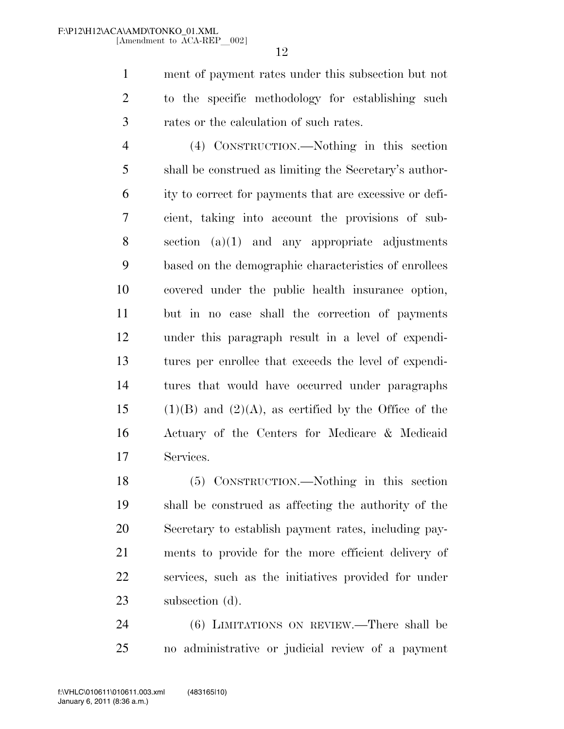ment of payment rates under this subsection but not to the specific methodology for establishing such rates or the calculation of such rates.

 (4) CONSTRUCTION.—Nothing in this section shall be construed as limiting the Secretary's author- ity to correct for payments that are excessive or defi- cient, taking into account the provisions of sub- section (a)(1) and any appropriate adjustments based on the demographic characteristics of enrollees covered under the public health insurance option, but in no case shall the correction of payments under this paragraph result in a level of expendi- tures per enrollee that exceeds the level of expendi- tures that would have occurred under paragraphs 15 (1)(B) and (2)(A), as certified by the Office of the Actuary of the Centers for Medicare & Medicaid Services.

 (5) CONSTRUCTION.—Nothing in this section shall be construed as affecting the authority of the Secretary to establish payment rates, including pay- ments to provide for the more efficient delivery of services, such as the initiatives provided for under 23 subsection (d).

 (6) LIMITATIONS ON REVIEW.—There shall be no administrative or judicial review of a payment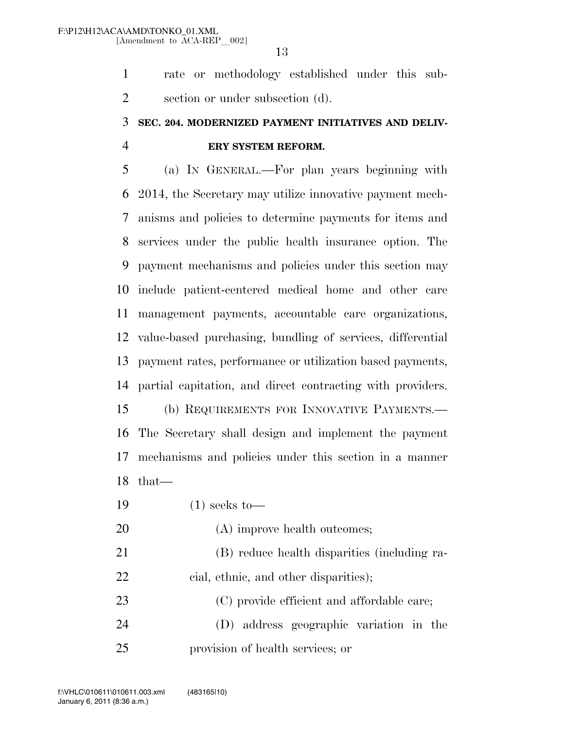rate or methodology established under this sub-section or under subsection (d).

### **SEC. 204. MODERNIZED PAYMENT INITIATIVES AND DELIV-ERY SYSTEM REFORM.**

 (a) IN GENERAL.—For plan years beginning with 2014, the Secretary may utilize innovative payment mech- anisms and policies to determine payments for items and services under the public health insurance option. The payment mechanisms and policies under this section may include patient-centered medical home and other care management payments, accountable care organizations, value-based purchasing, bundling of services, differential payment rates, performance or utilization based payments, partial capitation, and direct contracting with providers. (b) REQUIREMENTS FOR INNOVATIVE PAYMENTS.— The Secretary shall design and implement the payment mechanisms and policies under this section in a manner that—

- (1) seeks to—
- 20 (A) improve health outcomes; (B) reduce health disparities (including ra-22 cial, ethnic, and other disparities); 23 (C) provide efficient and affordable care; (D) address geographic variation in the
- provision of health services; or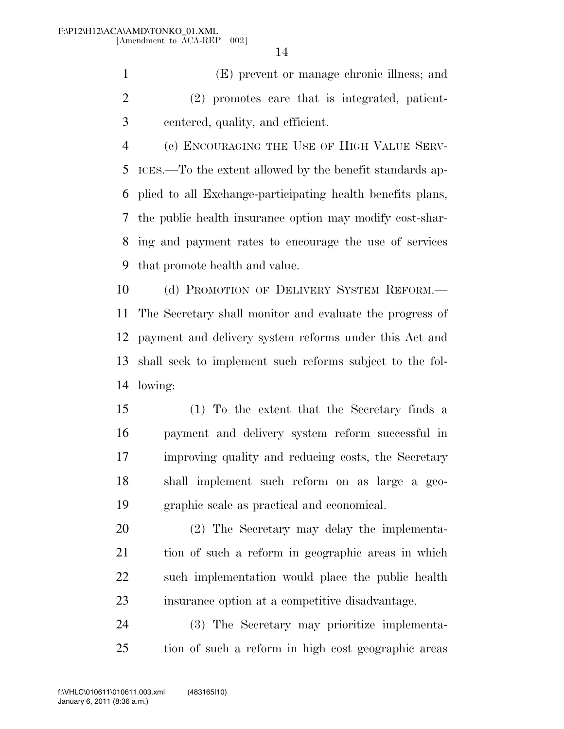(E) prevent or manage chronic illness; and (2) promotes care that is integrated, patient-centered, quality, and efficient.

 (c) ENCOURAGING THE USE OF HIGH VALUE SERV- ICES.—To the extent allowed by the benefit standards ap- plied to all Exchange-participating health benefits plans, the public health insurance option may modify cost-shar- ing and payment rates to encourage the use of services that promote health and value.

 (d) PROMOTION OF DELIVERY SYSTEM REFORM.— The Secretary shall monitor and evaluate the progress of payment and delivery system reforms under this Act and shall seek to implement such reforms subject to the fol-lowing:

 (1) To the extent that the Secretary finds a payment and delivery system reform successful in improving quality and reducing costs, the Secretary shall implement such reform on as large a geo-graphic scale as practical and economical.

 (2) The Secretary may delay the implementa- tion of such a reform in geographic areas in which such implementation would place the public health insurance option at a competitive disadvantage.

 (3) The Secretary may prioritize implementa-tion of such a reform in high cost geographic areas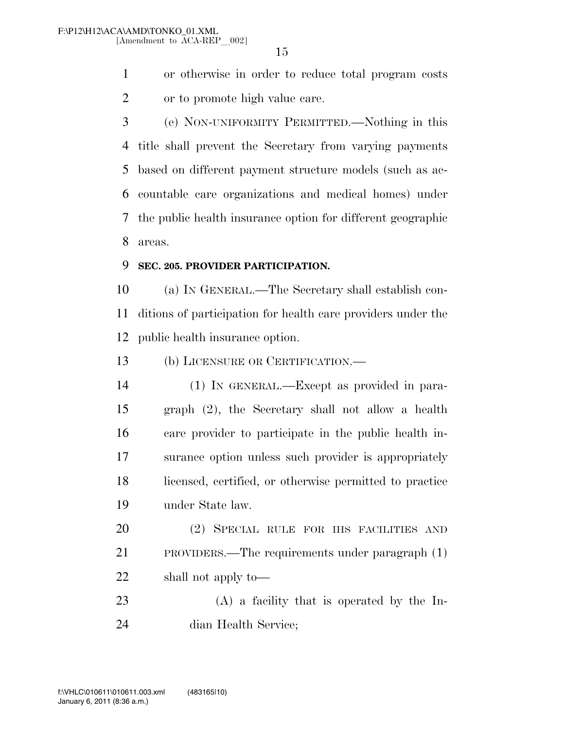or otherwise in order to reduce total program costs or to promote high value care.

 (e) NON-UNIFORMITY PERMITTED.—Nothing in this title shall prevent the Secretary from varying payments based on different payment structure models (such as ac- countable care organizations and medical homes) under the public health insurance option for different geographic areas.

#### **SEC. 205. PROVIDER PARTICIPATION.**

 (a) IN GENERAL.—The Secretary shall establish con- ditions of participation for health care providers under the public health insurance option.

(b) LICENSURE OR CERTIFICATION.—

 (1) IN GENERAL.—Except as provided in para- graph (2), the Secretary shall not allow a health care provider to participate in the public health in- surance option unless such provider is appropriately licensed, certified, or otherwise permitted to practice under State law.

 (2) SPECIAL RULE FOR IHS FACILITIES AND PROVIDERS.—The requirements under paragraph (1) shall not apply to—

 (A) a facility that is operated by the In-dian Health Service;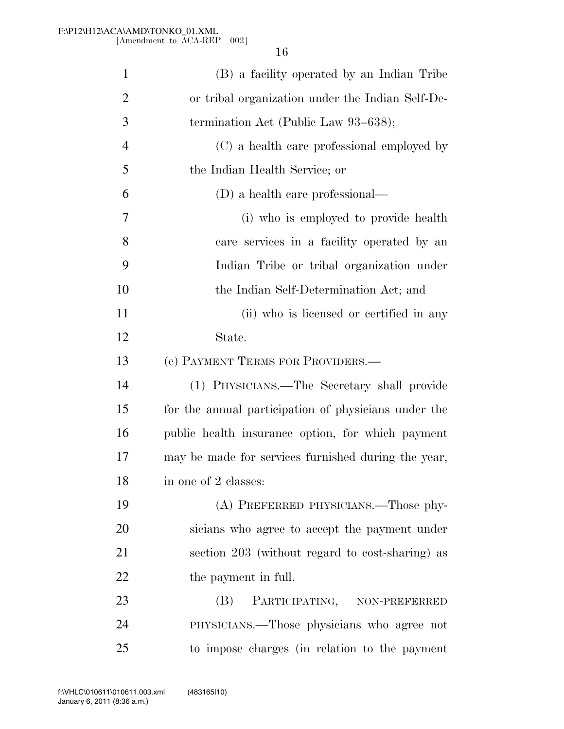| $\mathbf{1}$   | (B) a facility operated by an Indian Tribe           |
|----------------|------------------------------------------------------|
| $\overline{2}$ | or tribal organization under the Indian Self-De-     |
| 3              | termination Act (Public Law $93-638$ );              |
| $\overline{4}$ | (C) a health care professional employed by           |
| 5              | the Indian Health Service; or                        |
| 6              | (D) a health care professional—                      |
| 7              | (i) who is employed to provide health                |
| 8              | care services in a facility operated by an           |
| 9              | Indian Tribe or tribal organization under            |
| 10             | the Indian Self-Determination Act; and               |
| 11             | (ii) who is licensed or certified in any             |
| 12             | State.                                               |
| 13             | (c) PAYMENT TERMS FOR PROVIDERS.—                    |
| 14             | (1) PHYSICIANS.—The Secretary shall provide          |
| 15             | for the annual participation of physicians under the |
| 16             | public health insurance option, for which payment    |
| 17             | may be made for services furnished during the year,  |
| 18             | in one of 2 classes:                                 |
| 19             | (A) PREFERRED PHYSICIANS.—Those phy-                 |
| 20             | sicians who agree to accept the payment under        |
| 21             | section 203 (without regard to cost-sharing) as      |
| 22             | the payment in full.                                 |
| 23             | PARTICIPATING, NON-PREFERRED<br>(B)                  |
| 24             | PHYSICIANS.—Those physicians who agree not           |
| 25             | to impose charges (in relation to the payment        |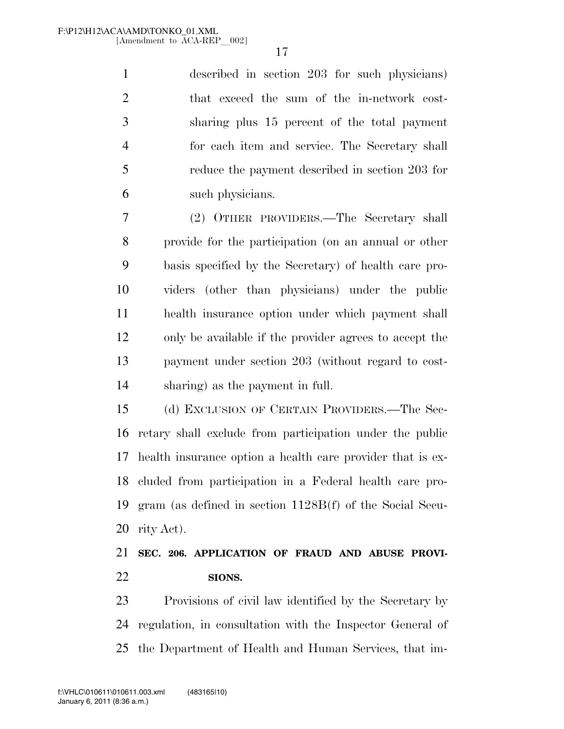described in section 203 for such physicians) that exceed the sum of the in-network cost- sharing plus 15 percent of the total payment for each item and service. The Secretary shall reduce the payment described in section 203 for such physicians.

 (2) OTHER PROVIDERS.—The Secretary shall provide for the participation (on an annual or other basis specified by the Secretary) of health care pro- viders (other than physicians) under the public health insurance option under which payment shall only be available if the provider agrees to accept the payment under section 203 (without regard to cost-sharing) as the payment in full.

 (d) EXCLUSION OF CERTAIN PROVIDERS.—The Sec- retary shall exclude from participation under the public health insurance option a health care provider that is ex- cluded from participation in a Federal health care pro- gram (as defined in section 1128B(f) of the Social Secu-rity Act).

### **SEC. 206. APPLICATION OF FRAUD AND ABUSE PROVI-SIONS.**

 Provisions of civil law identified by the Secretary by regulation, in consultation with the Inspector General of the Department of Health and Human Services, that im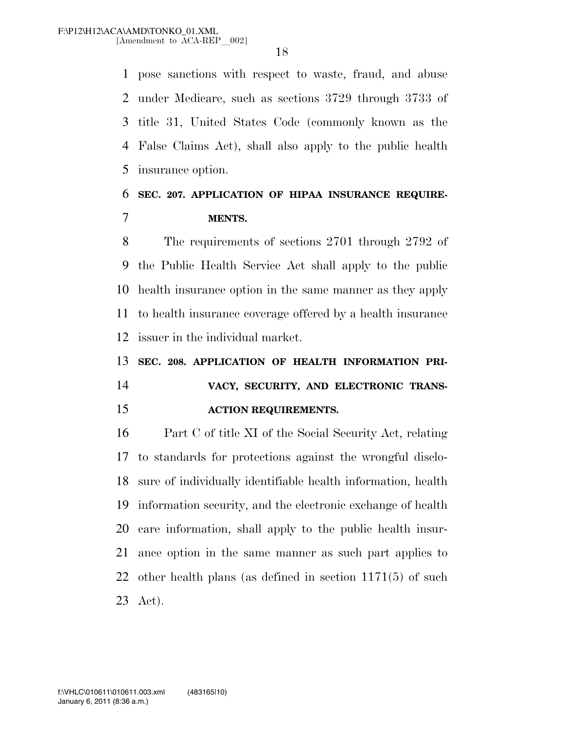pose sanctions with respect to waste, fraud, and abuse under Medicare, such as sections 3729 through 3733 of title 31, United States Code (commonly known as the False Claims Act), shall also apply to the public health insurance option.

#### **SEC. 207. APPLICATION OF HIPAA INSURANCE REQUIRE-MENTS.**

 The requirements of sections 2701 through 2792 of the Public Health Service Act shall apply to the public health insurance option in the same manner as they apply to health insurance coverage offered by a health insurance issuer in the individual market.

**SEC. 208. APPLICATION OF HEALTH INFORMATION PRI-**

# **VACY, SECURITY, AND ELECTRONIC TRANS-ACTION REQUIREMENTS.**

 Part C of title XI of the Social Security Act, relating to standards for protections against the wrongful disclo- sure of individually identifiable health information, health information security, and the electronic exchange of health care information, shall apply to the public health insur- ance option in the same manner as such part applies to other health plans (as defined in section 1171(5) of such Act).